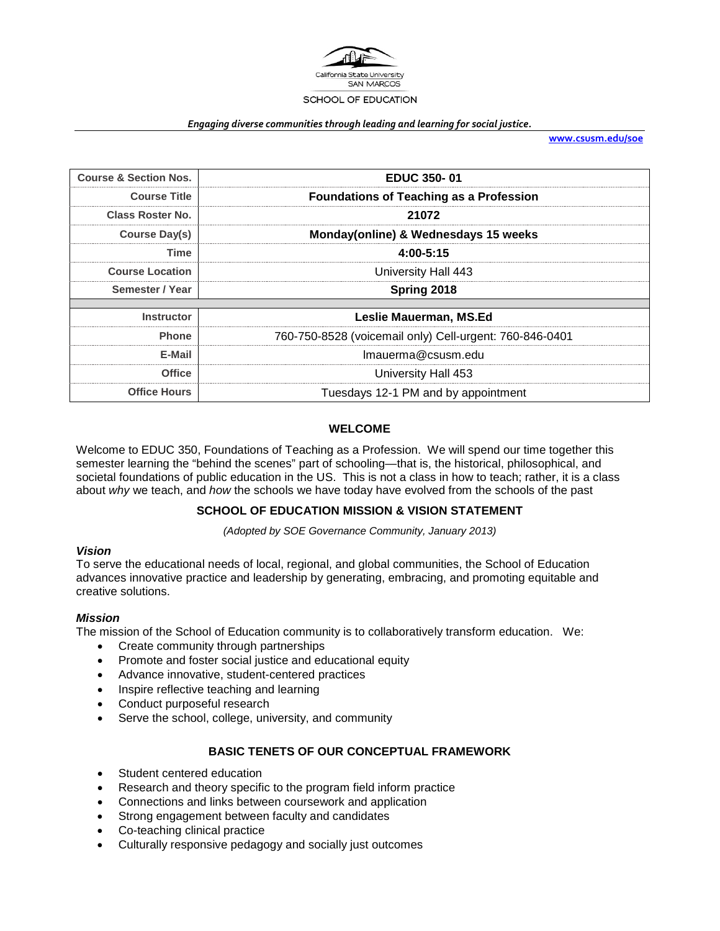

#### *Engaging diverse communities through leading and learning for social justice.*

**[www.csusm.edu/soe](http://www.csusm.edu/soe)**

| <b>Course &amp; Section Nos.</b> | <b>EDUC 350-01</b>                                      |
|----------------------------------|---------------------------------------------------------|
| <b>Course Title</b>              | <b>Foundations of Teaching as a Profession</b>          |
| Class Roster No.                 | 21072                                                   |
| Course Day(s)                    | Monday(online) & Wednesdays 15 weeks                    |
| Time                             | 4:00-5:15                                               |
| <b>Course Location</b>           | University Hall 443                                     |
| Semester / Year                  | Spring 2018                                             |
|                                  |                                                         |
| <b>Instructor</b>                | Leslie Mauerman, MS.Ed                                  |
| <b>Phone</b>                     | 760-750-8528 (voicemail only) Cell-urgent: 760-846-0401 |
| E-Mail                           | Imauerma@csusm.edu                                      |
| <b>Office</b>                    | University Hall 453                                     |
| <b>Office Hours</b>              | Tuesdays 12-1 PM and by appointment                     |

#### **WELCOME**

Welcome to EDUC 350, Foundations of Teaching as a Profession. We will spend our time together this semester learning the "behind the scenes" part of schooling—that is, the historical, philosophical, and societal foundations of public education in the US. This is not a class in how to teach; rather, it is a class about *why* we teach, and *how* the schools we have today have evolved from the schools of the past

## **SCHOOL OF EDUCATION MISSION & VISION STATEMENT**

*(Adopted by SOE Governance Community, January 2013)*

#### *Vision*

To serve the educational needs of local, regional, and global communities, the School of Education advances innovative practice and leadership by generating, embracing, and promoting equitable and creative solutions.

#### *Mission*

The mission of the School of Education community is to collaboratively transform education. We:

- Create community through partnerships
- Promote and foster social justice and educational equity
- Advance innovative, student-centered practices
- Inspire reflective teaching and learning
- Conduct purposeful research
- Serve the school, college, university, and community

## **BASIC TENETS OF OUR CONCEPTUAL FRAMEWORK**

- Student centered education
- Research and theory specific to the program field inform practice
- Connections and links between coursework and application
- Strong engagement between faculty and candidates
- Co-teaching clinical practice
- Culturally responsive pedagogy and socially just outcomes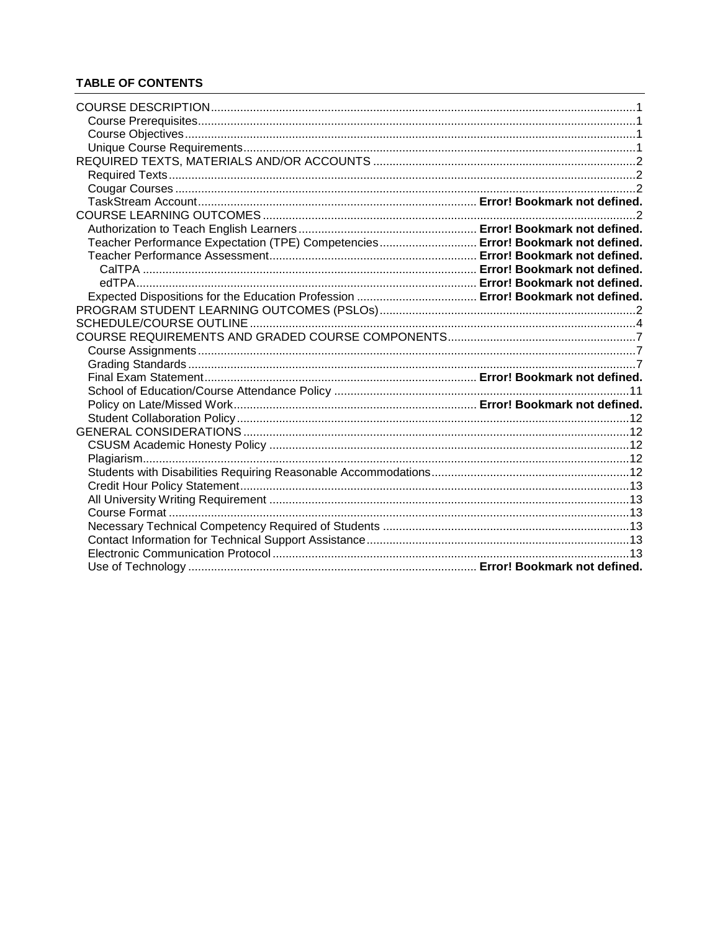## **TABLE OF CONTENTS**

| Teacher Performance Expectation (TPE) Competencies Error! Bookmark not defined. |  |
|---------------------------------------------------------------------------------|--|
|                                                                                 |  |
|                                                                                 |  |
|                                                                                 |  |
|                                                                                 |  |
|                                                                                 |  |
|                                                                                 |  |
|                                                                                 |  |
|                                                                                 |  |
|                                                                                 |  |
|                                                                                 |  |
|                                                                                 |  |
|                                                                                 |  |
|                                                                                 |  |
|                                                                                 |  |
|                                                                                 |  |
|                                                                                 |  |
|                                                                                 |  |
|                                                                                 |  |
|                                                                                 |  |
|                                                                                 |  |
|                                                                                 |  |
|                                                                                 |  |
|                                                                                 |  |
|                                                                                 |  |
|                                                                                 |  |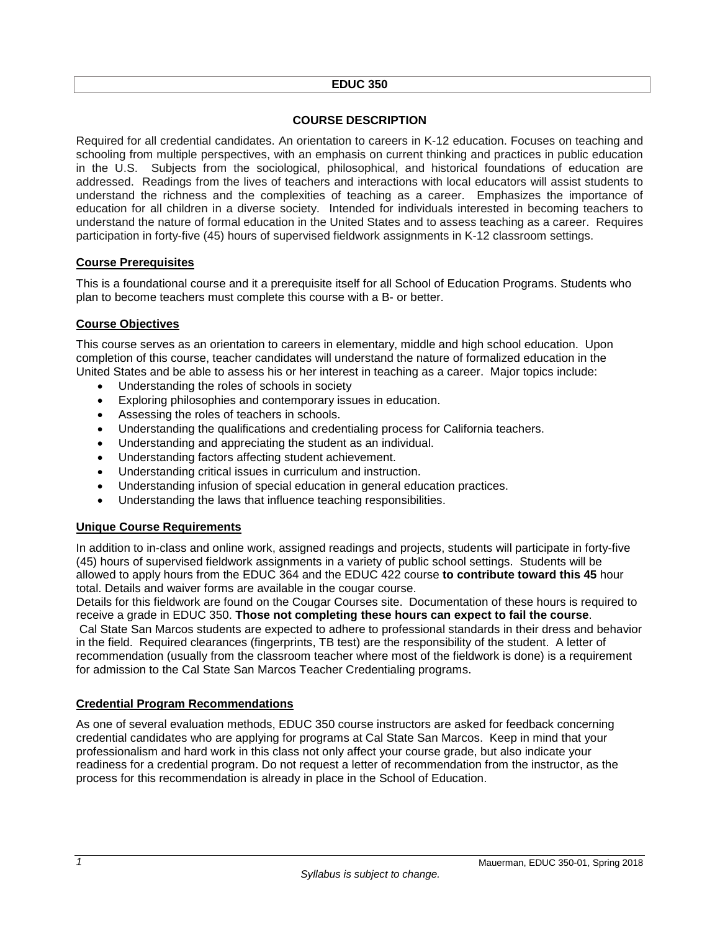#### **EDUC 350**

## **COURSE DESCRIPTION**

<span id="page-2-0"></span>Required for all credential candidates. An orientation to careers in K-12 education. Focuses on teaching and schooling from multiple perspectives, with an emphasis on current thinking and practices in public education in the U.S. Subjects from the sociological, philosophical, and historical foundations of education are addressed. Readings from the lives of teachers and interactions with local educators will assist students to understand the richness and the complexities of teaching as a career. Emphasizes the importance of education for all children in a diverse society. Intended for individuals interested in becoming teachers to understand the nature of formal education in the United States and to assess teaching as a career. Requires participation in forty-five (45) hours of supervised fieldwork assignments in K-12 classroom settings.

#### <span id="page-2-1"></span>**Course Prerequisites**

This is a foundational course and it a prerequisite itself for all School of Education Programs. Students who plan to become teachers must complete this course with a B- or better.

## <span id="page-2-2"></span>**Course Objectives**

This course serves as an orientation to careers in elementary, middle and high school education. Upon completion of this course, teacher candidates will understand the nature of formalized education in the United States and be able to assess his or her interest in teaching as a career. Major topics include:

- Understanding the roles of schools in society
- Exploring philosophies and contemporary issues in education.
- Assessing the roles of teachers in schools.
- Understanding the qualifications and credentialing process for California teachers.
- Understanding and appreciating the student as an individual.
- Understanding factors affecting student achievement.
- Understanding critical issues in curriculum and instruction.
- Understanding infusion of special education in general education practices.
- Understanding the laws that influence teaching responsibilities.

## <span id="page-2-3"></span>**Unique Course Requirements**

In addition to in-class and online work, assigned readings and projects, students will participate in forty-five (45) hours of supervised fieldwork assignments in a variety of public school settings. Students will be allowed to apply hours from the EDUC 364 and the EDUC 422 course **to contribute toward this 45** hour total. Details and waiver forms are available in the cougar course.

Details for this fieldwork are found on the Cougar Courses site. Documentation of these hours is required to receive a grade in EDUC 350. **Those not completing these hours can expect to fail the course**. Cal State San Marcos students are expected to adhere to professional standards in their dress and behavior in the field. Required clearances (fingerprints, TB test) are the responsibility of the student. A letter of recommendation (usually from the classroom teacher where most of the fieldwork is done) is a requirement for admission to the Cal State San Marcos Teacher Credentialing programs.

## **Credential Program Recommendations**

As one of several evaluation methods, EDUC 350 course instructors are asked for feedback concerning credential candidates who are applying for programs at Cal State San Marcos. Keep in mind that your professionalism and hard work in this class not only affect your course grade, but also indicate your readiness for a credential program. Do not request a letter of recommendation from the instructor, as the process for this recommendation is already in place in the School of Education.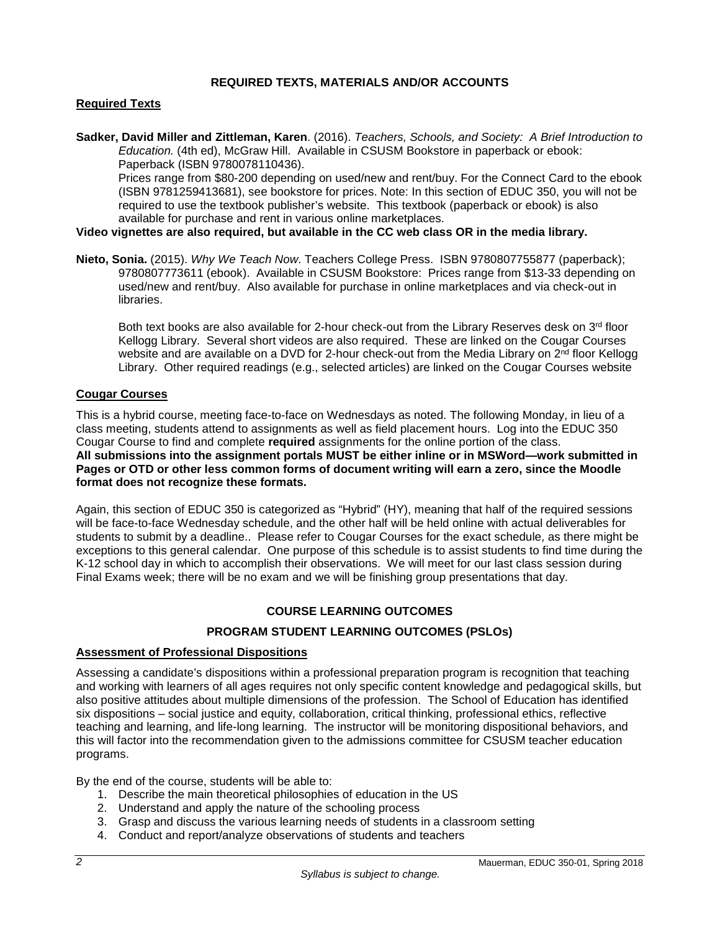### **REQUIRED TEXTS, MATERIALS AND/OR ACCOUNTS**

### <span id="page-3-1"></span><span id="page-3-0"></span>**Required Texts**

**Sadker, David Miller and Zittleman, Karen**. (2016). *Teachers, Schools, and Society: A Brief Introduction to Education.* (4th ed), McGraw Hill. Available in CSUSM Bookstore in paperback or ebook: Paperback (ISBN 9780078110436).

Prices range from \$80-200 depending on used/new and rent/buy. For the Connect Card to the ebook (ISBN 9781259413681), see bookstore for prices. Note: In this section of EDUC 350, you will not be required to use the textbook publisher's website. This textbook (paperback or ebook) is also available for purchase and rent in various online marketplaces.

#### **Video vignettes are also required, but available in the CC web class OR in the media library.**

**Nieto, Sonia.** (2015). *Why We Teach Now*. Teachers College Press. ISBN 9780807755877 (paperback); 9780807773611 (ebook). Available in CSUSM Bookstore: Prices range from \$13-33 depending on used/new and rent/buy. Also available for purchase in online marketplaces and via check-out in libraries.

Both text books are also available for 2-hour check-out from the Library Reserves desk on 3rd floor Kellogg Library. Several short videos are also required. These are linked on the Cougar Courses website and are available on a DVD for 2-hour check-out from the Media Library on 2<sup>nd</sup> floor Kellogg Library. Other required readings (e.g., selected articles) are linked on the Cougar Courses website

#### <span id="page-3-2"></span>**Cougar Courses**

This is a hybrid course, meeting face-to-face on Wednesdays as noted. The following Monday, in lieu of a class meeting, students attend to assignments as well as field placement hours. Log into the EDUC 350 Cougar Course to find and complete **required** assignments for the online portion of the class. **All submissions into the assignment portals MUST be either inline or in MSWord—work submitted in Pages or OTD or other less common forms of document writing will earn a zero, since the Moodle format does not recognize these formats.**

Again, this section of EDUC 350 is categorized as "Hybrid" (HY), meaning that half of the required sessions will be face-to-face Wednesday schedule, and the other half will be held online with actual deliverables for students to submit by a deadline.. Please refer to Cougar Courses for the exact schedule, as there might be exceptions to this general calendar. One purpose of this schedule is to assist students to find time during the K-12 school day in which to accomplish their observations. We will meet for our last class session during Final Exams week; there will be no exam and we will be finishing group presentations that day.

## **COURSE LEARNING OUTCOMES**

#### **PROGRAM STUDENT LEARNING OUTCOMES (PSLOs)**

#### <span id="page-3-4"></span><span id="page-3-3"></span>**Assessment of Professional Dispositions**

Assessing a candidate's dispositions within a professional preparation program is recognition that teaching and working with learners of all ages requires not only specific content knowledge and pedagogical skills, but also positive attitudes about multiple dimensions of the profession. The School of Education has identified six dispositions – social justice and equity, collaboration, critical thinking, professional ethics, reflective teaching and learning, and life-long learning. The instructor will be monitoring dispositional behaviors, and this will factor into the recommendation given to the admissions committee for CSUSM teacher education programs.

By the end of the course, students will be able to:

- 1. Describe the main theoretical philosophies of education in the US
- 2. Understand and apply the nature of the schooling process
- 3. Grasp and discuss the various learning needs of students in a classroom setting
- 4. Conduct and report/analyze observations of students and teachers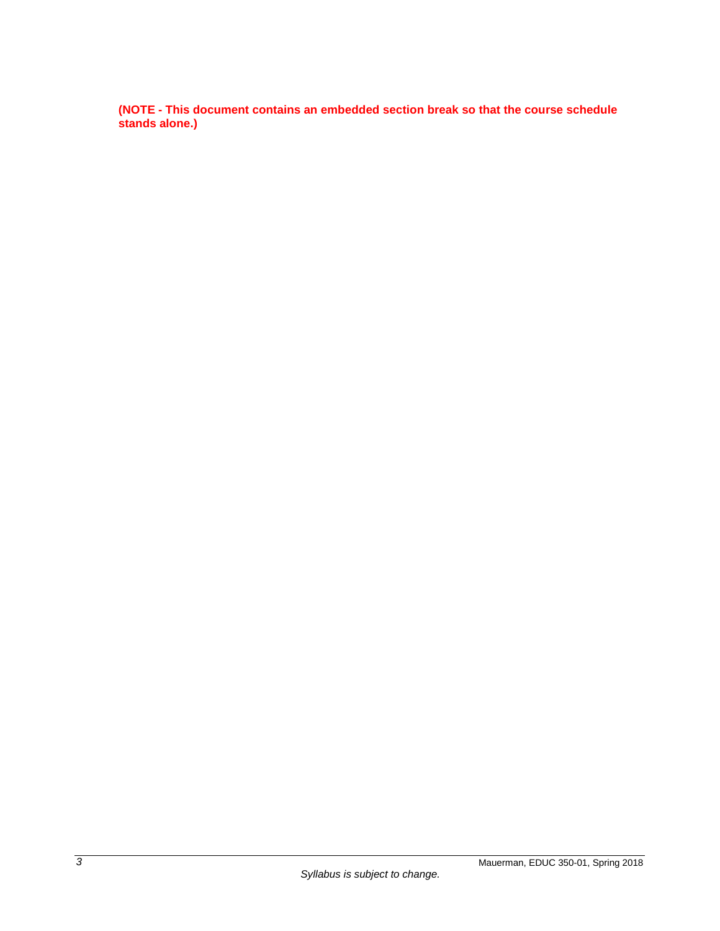**(NOTE - This document contains an embedded section break so that the course schedule stands alone.)**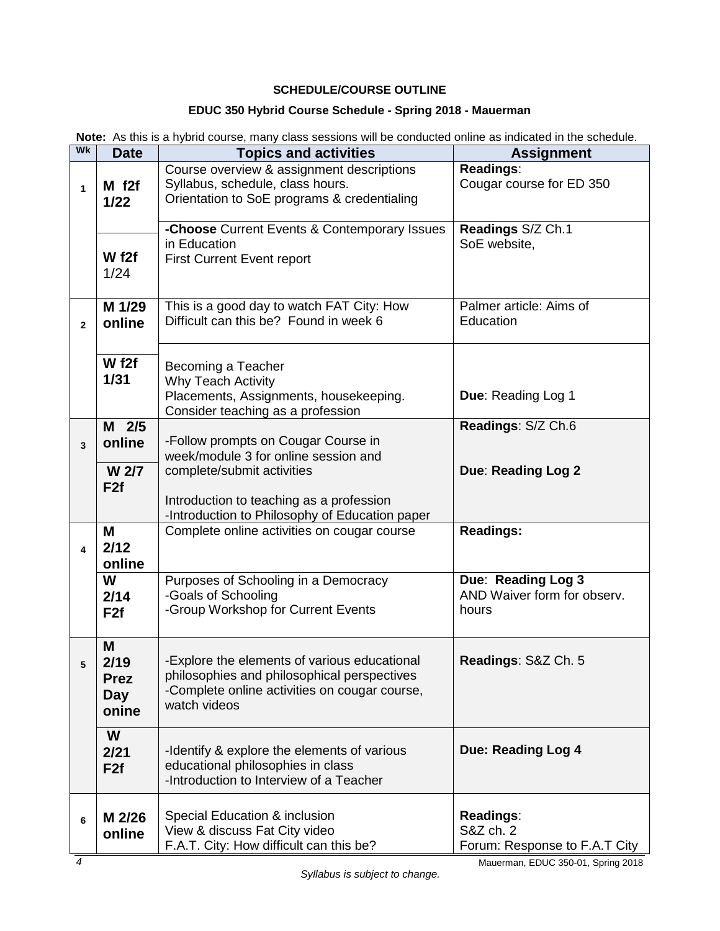## **SCHEDULE/COURSE OUTLINE**

# **EDUC 350 Hybrid Course Schedule - Spring 2018 - Mauerman**

<span id="page-5-0"></span>

|  |  |  |  |  | Note: As this is a hybrid course, many class sessions will be conducted online as indicated in the schedule. |  |
|--|--|--|--|--|--------------------------------------------------------------------------------------------------------------|--|
|--|--|--|--|--|--------------------------------------------------------------------------------------------------------------|--|

| Wk             | <b>Date</b>         | <b>Topics and activities</b>                                                | <b>Assignment</b>                                 |  |
|----------------|---------------------|-----------------------------------------------------------------------------|---------------------------------------------------|--|
|                |                     | Course overview & assignment descriptions                                   | Readings:                                         |  |
| $\mathbf{1}$   | $M$ f <sub>2f</sub> | Syllabus, schedule, class hours.                                            | Cougar course for ED 350                          |  |
|                | $1/22$              | Orientation to SoE programs & credentialing                                 |                                                   |  |
|                |                     | -Choose Current Events & Contemporary Issues                                | Readings S/Z Ch.1                                 |  |
|                |                     | in Education                                                                | SoE website,                                      |  |
|                | W f2f               | <b>First Current Event report</b>                                           |                                                   |  |
|                | 1/24                |                                                                             |                                                   |  |
|                |                     |                                                                             |                                                   |  |
|                | M 1/29              | This is a good day to watch FAT City: How                                   | Palmer article: Aims of                           |  |
| $\overline{2}$ | online              | Difficult can this be? Found in week 6                                      | Education                                         |  |
|                |                     |                                                                             |                                                   |  |
|                | W f2f               | Becoming a Teacher                                                          |                                                   |  |
|                | 1/31                | <b>Why Teach Activity</b>                                                   |                                                   |  |
|                |                     | Placements, Assignments, housekeeping.                                      | Due: Reading Log 1                                |  |
|                |                     | Consider teaching as a profession                                           |                                                   |  |
|                | $M$ 2/5             |                                                                             | Readings: S/Z Ch.6                                |  |
| 3              | online              | -Follow prompts on Cougar Course in<br>week/module 3 for online session and |                                                   |  |
|                | W 2/7               | complete/submit activities                                                  | Due: Reading Log 2                                |  |
|                | F <sub>2f</sub>     |                                                                             |                                                   |  |
|                |                     | Introduction to teaching as a profession                                    |                                                   |  |
|                |                     | -Introduction to Philosophy of Education paper                              |                                                   |  |
|                | M                   | Complete online activities on cougar course                                 | <b>Readings:</b>                                  |  |
| 4              | 2/12                |                                                                             |                                                   |  |
|                | online              |                                                                             |                                                   |  |
|                | W                   | Purposes of Schooling in a Democracy                                        | Due: Reading Log 3<br>AND Waiver form for observ. |  |
|                | 2/14                | -Goals of Schooling<br>-Group Workshop for Current Events                   | hours                                             |  |
|                | F <sub>2f</sub>     |                                                                             |                                                   |  |
|                | M                   |                                                                             |                                                   |  |
| 5              | 2/19                | -Explore the elements of various educational                                | Readings: S&Z Ch. 5                               |  |
|                | <b>Prez</b>         | philosophies and philosophical perspectives                                 |                                                   |  |
|                | Day                 | -Complete online activities on cougar course,                               |                                                   |  |
|                | onine               | watch videos                                                                |                                                   |  |
|                | W                   |                                                                             |                                                   |  |
|                | 2/21                | -Identify & explore the elements of various                                 | Due: Reading Log 4                                |  |
|                | F2f                 | educational philosophies in class                                           |                                                   |  |
|                |                     | -Introduction to Interview of a Teacher                                     |                                                   |  |
|                |                     |                                                                             |                                                   |  |
| 6              | M 2/26              | Special Education & inclusion                                               | Readings:                                         |  |
|                | online              | View & discuss Fat City video                                               | S&Z ch. 2                                         |  |
|                |                     | F.A.T. City: How difficult can this be?                                     | Forum: Response to F.A.T City                     |  |

Mauerman, EDUC 350-01, Spring 2018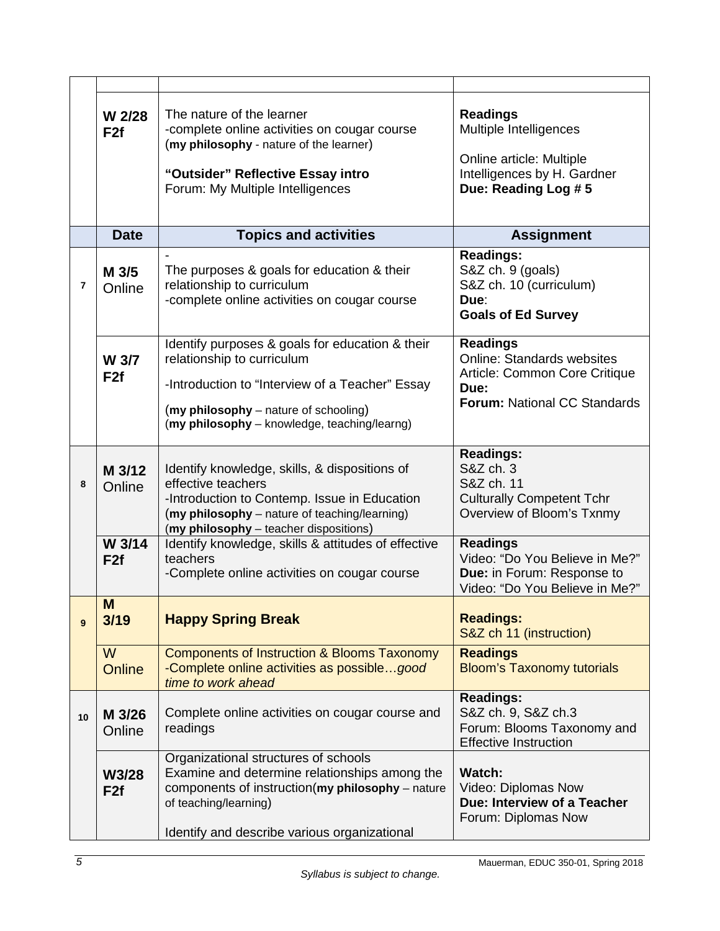|    | W 2/28<br>F <sub>2f</sub> | The nature of the learner<br>-complete online activities on cougar course<br>(my philosophy - nature of the learner)<br>"Outsider" Reflective Essay intro<br>Forum: My Multiple Intelligences                             | <b>Readings</b><br>Multiple Intelligences<br>Online article: Multiple<br>Intelligences by H. Gardner<br>Due: Reading Log #5          |
|----|---------------------------|---------------------------------------------------------------------------------------------------------------------------------------------------------------------------------------------------------------------------|--------------------------------------------------------------------------------------------------------------------------------------|
|    | <b>Date</b>               | <b>Topics and activities</b>                                                                                                                                                                                              | <b>Assignment</b>                                                                                                                    |
| 7  | M 3/5<br>Online           | The purposes & goals for education & their<br>relationship to curriculum<br>-complete online activities on cougar course                                                                                                  | <b>Readings:</b><br>S&Z ch. 9 (goals)<br>S&Z ch. 10 (curriculum)<br>Due:<br><b>Goals of Ed Survey</b>                                |
|    | W 3/7<br>F <sub>2f</sub>  | Identify purposes & goals for education & their<br>relationship to curriculum<br>-Introduction to "Interview of a Teacher" Essay<br>(my philosophy – nature of schooling)<br>(my philosophy - knowledge, teaching/learng) | <b>Readings</b><br><b>Online: Standards websites</b><br>Article: Common Core Critique<br>Due:<br><b>Forum: National CC Standards</b> |
| 8  | M 3/12<br>Online          | Identify knowledge, skills, & dispositions of<br>effective teachers<br>-Introduction to Contemp. Issue in Education<br>(my philosophy - nature of teaching/learning)<br>(my philosophy - teacher dispositions)            | <b>Readings:</b><br>S&Z ch. 3<br>S&Z ch. 11<br><b>Culturally Competent Tchr</b><br>Overview of Bloom's Txnmy                         |
|    | W 3/14<br>F <sub>2f</sub> | Identify knowledge, skills & attitudes of effective<br>teachers<br>-Complete online activities on cougar course                                                                                                           | <b>Readings</b><br>Video: "Do You Believe in Me?"<br>Due: in Forum: Response to<br>Video: "Do You Believe in Me?"                    |
| 9  | M<br>3/19                 | <b>Happy Spring Break</b>                                                                                                                                                                                                 | <b>Readings:</b><br>S&Z ch 11 (instruction)                                                                                          |
|    | W<br><b>Online</b>        | <b>Components of Instruction &amp; Blooms Taxonomy</b><br>-Complete online activities as possiblegood<br>time to work ahead                                                                                               | <b>Readings</b><br><b>Bloom's Taxonomy tutorials</b>                                                                                 |
| 10 | M 3/26<br>Online          | Complete online activities on cougar course and<br>readings                                                                                                                                                               | <b>Readings:</b><br>S&Z ch. 9, S&Z ch.3<br>Forum: Blooms Taxonomy and<br><b>Effective Instruction</b>                                |
|    | W3/28<br>F <sub>2f</sub>  | Organizational structures of schools<br>Examine and determine relationships among the<br>components of instruction( $my$ philosophy – nature<br>of teaching/learning)<br>Identify and describe various organizational     | <b>Watch:</b><br>Video: Diplomas Now<br>Due: Interview of a Teacher<br>Forum: Diplomas Now                                           |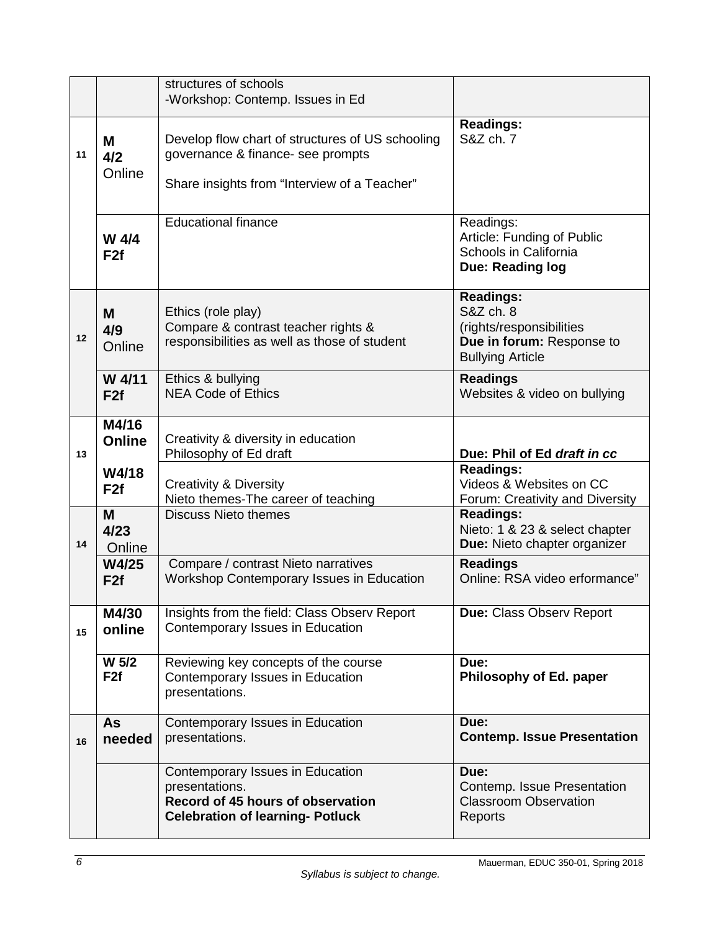|    |                          | structures of schools<br>-Workshop: Contemp. Issues in Ed                                                                             |                                                                                                                   |
|----|--------------------------|---------------------------------------------------------------------------------------------------------------------------------------|-------------------------------------------------------------------------------------------------------------------|
| 11 | M<br>4/2<br>Online       | Develop flow chart of structures of US schooling<br>governance & finance- see prompts<br>Share insights from "Interview of a Teacher" | <b>Readings:</b><br>S&Z ch. 7                                                                                     |
|    | W 4/4<br>F <sub>2f</sub> | <b>Educational finance</b>                                                                                                            | Readings:<br>Article: Funding of Public<br>Schools in California<br>Due: Reading log                              |
| 12 | M<br>4/9<br>Online       | Ethics (role play)<br>Compare & contrast teacher rights &<br>responsibilities as well as those of student                             | <b>Readings:</b><br>S&Z ch. 8<br>(rights/responsibilities<br>Due in forum: Response to<br><b>Bullying Article</b> |
|    | W 4/11<br>F2f            | Ethics & bullying<br><b>NEA Code of Ethics</b>                                                                                        | <b>Readings</b><br>Websites & video on bullying                                                                   |
| 13 | M4/16<br><b>Online</b>   | Creativity & diversity in education<br>Philosophy of Ed draft                                                                         | Due: Phil of Ed draft in cc                                                                                       |
|    | W4/18<br>F <sub>2f</sub> | <b>Creativity &amp; Diversity</b><br>Nieto themes-The career of teaching                                                              | <b>Readings:</b><br>Videos & Websites on CC<br>Forum: Creativity and Diversity                                    |
| 14 | M<br>4/23<br>Online      | <b>Discuss Nieto themes</b>                                                                                                           | <b>Readings:</b><br>Nieto: 1 & 23 & select chapter<br>Due: Nieto chapter organizer                                |
|    | W4/25<br>F2f             | Compare / contrast Nieto narratives<br>Workshop Contemporary Issues in Education                                                      | <b>Readings</b><br>Online: RSA video erformance"                                                                  |
| 15 | M4/30<br>online          | Insights from the field: Class Observ Report<br>Contemporary Issues in Education                                                      | <b>Due: Class Observ Report</b>                                                                                   |
|    | W 5/2<br>F <sub>2f</sub> | Reviewing key concepts of the course<br>Contemporary Issues in Education<br>presentations.                                            | Due:<br>Philosophy of Ed. paper                                                                                   |
| 16 | <b>As</b><br>needed      | Contemporary Issues in Education<br>presentations.                                                                                    | Due:<br><b>Contemp. Issue Presentation</b>                                                                        |
|    |                          | Contemporary Issues in Education<br>presentations.<br>Record of 45 hours of observation<br><b>Celebration of learning- Potluck</b>    | Due:<br>Contemp. Issue Presentation<br><b>Classroom Observation</b><br>Reports                                    |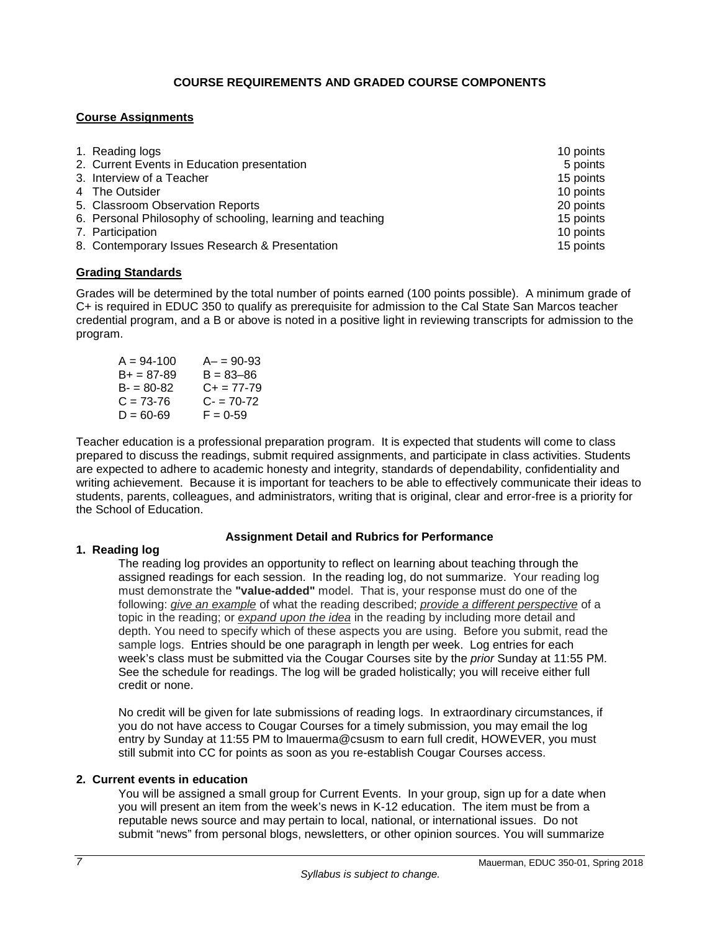## **COURSE REQUIREMENTS AND GRADED COURSE COMPONENTS**

## <span id="page-8-1"></span><span id="page-8-0"></span>**Course Assignments**

| 1. Reading logs                                            | 10 points |
|------------------------------------------------------------|-----------|
| 2. Current Events in Education presentation                | 5 points  |
| 3. Interview of a Teacher                                  | 15 points |
| 4 The Outsider                                             | 10 points |
| 5. Classroom Observation Reports                           | 20 points |
| 6. Personal Philosophy of schooling, learning and teaching | 15 points |
| 7. Participation                                           | 10 points |
| 8. Contemporary Issues Research & Presentation             | 15 points |

## <span id="page-8-2"></span>**Grading Standards**

Grades will be determined by the total number of points earned (100 points possible). A minimum grade of C+ is required in EDUC 350 to qualify as prerequisite for admission to the Cal State San Marcos teacher credential program, and a B or above is noted in a positive light in reviewing transcripts for admission to the program.

| $A - 90 - 93$   |
|-----------------|
| $B = 83 - 86$   |
| $C_{+}$ = 77-79 |
| $C = 70-72$     |
| $F = 0.59$      |
|                 |

Teacher education is a professional preparation program. It is expected that students will come to class prepared to discuss the readings, submit required assignments, and participate in class activities. Students are expected to adhere to academic honesty and integrity, standards of dependability, confidentiality and writing achievement. Because it is important for teachers to be able to effectively communicate their ideas to students, parents, colleagues, and administrators, writing that is original, clear and error-free is a priority for the School of Education.

## **Assignment Detail and Rubrics for Performance**

## **1. Reading log**

The reading log provides an opportunity to reflect on learning about teaching through the assigned readings for each session. In the reading log, do not summarize. Your reading log must demonstrate the **"value-added"** model. That is, your response must do one of the following: *give an example* of what the reading described; *provide a different perspective* of a topic in the reading; or *expand upon the idea* in the reading by including more detail and depth. You need to specify which of these aspects you are using. Before you submit, read the sample logs. Entries should be one paragraph in length per week. Log entries for each week's class must be submitted via the Cougar Courses site by the *prior* Sunday at 11:55 PM. See the schedule for readings. The log will be graded holistically; you will receive either full credit or none.

No credit will be given for late submissions of reading logs. In extraordinary circumstances, if you do not have access to Cougar Courses for a timely submission, you may email the log entry by Sunday at 11:55 PM to lmauerma@csusm to earn full credit, HOWEVER, you must still submit into CC for points as soon as you re-establish Cougar Courses access.

## **2. Current events in education**

You will be assigned a small group for Current Events. In your group, sign up for a date when you will present an item from the week's news in K-12 education. The item must be from a reputable news source and may pertain to local, national, or international issues. Do not submit "news" from personal blogs, newsletters, or other opinion sources. You will summarize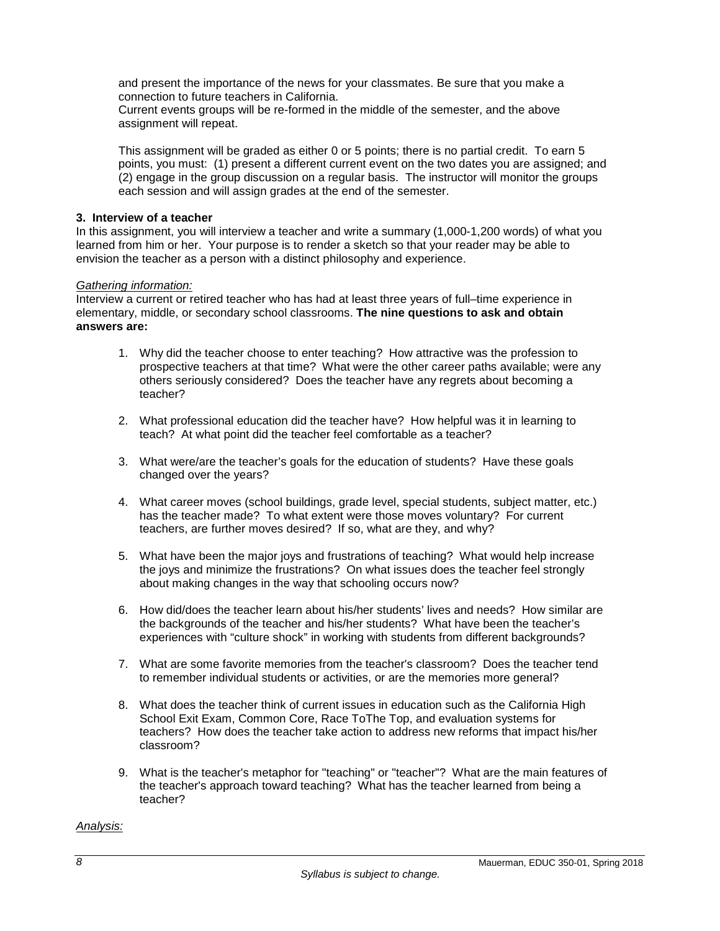and present the importance of the news for your classmates. Be sure that you make a connection to future teachers in California.

Current events groups will be re-formed in the middle of the semester, and the above assignment will repeat.

This assignment will be graded as either 0 or 5 points; there is no partial credit. To earn 5 points, you must: (1) present a different current event on the two dates you are assigned; and (2) engage in the group discussion on a regular basis. The instructor will monitor the groups each session and will assign grades at the end of the semester.

### **3. Interview of a teacher**

In this assignment, you will interview a teacher and write a summary (1,000-1,200 words) of what you learned from him or her. Your purpose is to render a sketch so that your reader may be able to envision the teacher as a person with a distinct philosophy and experience.

#### *Gathering information:*

Interview a current or retired teacher who has had at least three years of full–time experience in elementary, middle, or secondary school classrooms. **The nine questions to ask and obtain answers are:**

- 1. Why did the teacher choose to enter teaching? How attractive was the profession to prospective teachers at that time? What were the other career paths available; were any others seriously considered? Does the teacher have any regrets about becoming a teacher?
- 2. What professional education did the teacher have? How helpful was it in learning to teach? At what point did the teacher feel comfortable as a teacher?
- 3. What were/are the teacher's goals for the education of students? Have these goals changed over the years?
- 4. What career moves (school buildings, grade level, special students, subject matter, etc.) has the teacher made? To what extent were those moves voluntary? For current teachers, are further moves desired? If so, what are they, and why?
- 5. What have been the major joys and frustrations of teaching? What would help increase the joys and minimize the frustrations? On what issues does the teacher feel strongly about making changes in the way that schooling occurs now?
- 6. How did/does the teacher learn about his/her students' lives and needs? How similar are the backgrounds of the teacher and his/her students? What have been the teacher's experiences with "culture shock" in working with students from different backgrounds?
- 7. What are some favorite memories from the teacher's classroom? Does the teacher tend to remember individual students or activities, or are the memories more general?
- 8. What does the teacher think of current issues in education such as the California High School Exit Exam, Common Core, Race ToThe Top, and evaluation systems for teachers? How does the teacher take action to address new reforms that impact his/her classroom?
- 9. What is the teacher's metaphor for "teaching" or "teacher"? What are the main features of the teacher's approach toward teaching? What has the teacher learned from being a teacher?

#### *Analysis:*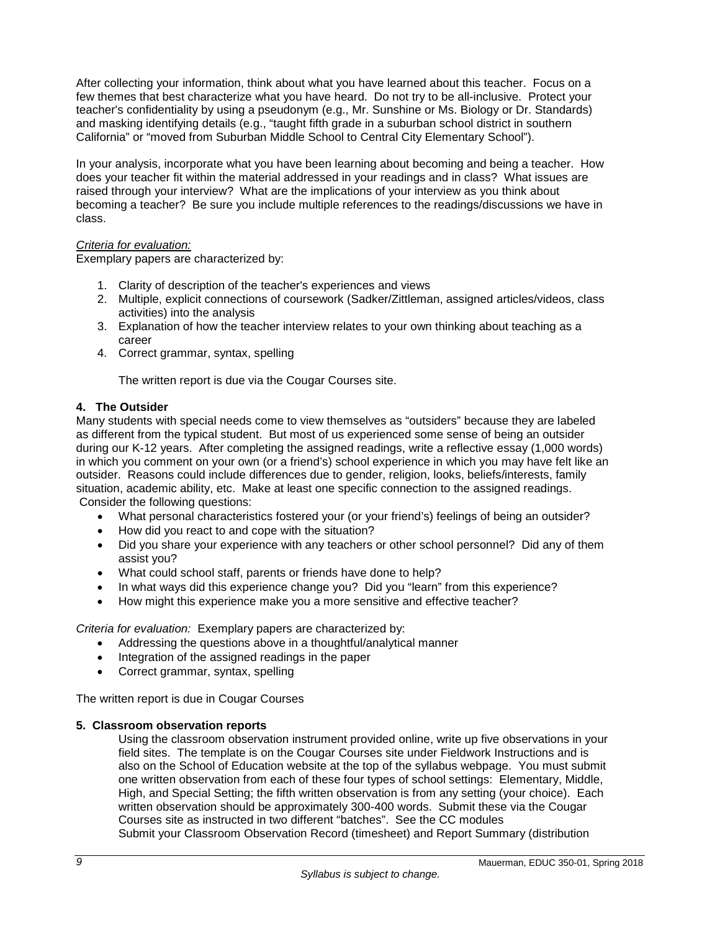After collecting your information, think about what you have learned about this teacher. Focus on a few themes that best characterize what you have heard. Do not try to be all-inclusive. Protect your teacher's confidentiality by using a pseudonym (e.g., Mr. Sunshine or Ms. Biology or Dr. Standards) and masking identifying details (e.g., "taught fifth grade in a suburban school district in southern California" or "moved from Suburban Middle School to Central City Elementary School").

In your analysis, incorporate what you have been learning about becoming and being a teacher. How does your teacher fit within the material addressed in your readings and in class? What issues are raised through your interview? What are the implications of your interview as you think about becoming a teacher? Be sure you include multiple references to the readings/discussions we have in class.

## *Criteria for evaluation:*

Exemplary papers are characterized by:

- 1. Clarity of description of the teacher's experiences and views
- 2. Multiple, explicit connections of coursework (Sadker/Zittleman, assigned articles/videos, class activities) into the analysis
- 3. Explanation of how the teacher interview relates to your own thinking about teaching as a career
- 4. Correct grammar, syntax, spelling

The written report is due via the Cougar Courses site.

## **4. The Outsider**

Many students with special needs come to view themselves as "outsiders" because they are labeled as different from the typical student. But most of us experienced some sense of being an outsider during our K-12 years. After completing the assigned readings, write a reflective essay (1,000 words) in which you comment on your own (or a friend's) school experience in which you may have felt like an outsider. Reasons could include differences due to gender, religion, looks, beliefs/interests, family situation, academic ability, etc. Make at least one specific connection to the assigned readings. Consider the following questions:

- What personal characteristics fostered your (or your friend's) feelings of being an outsider?
- How did you react to and cope with the situation?
- Did you share your experience with any teachers or other school personnel? Did any of them assist you?
- What could school staff, parents or friends have done to help?
- In what ways did this experience change you? Did you "learn" from this experience?
- How might this experience make you a more sensitive and effective teacher?

*Criteria for evaluation:* Exemplary papers are characterized by:

- Addressing the questions above in a thoughtful/analytical manner
- Integration of the assigned readings in the paper
- Correct grammar, syntax, spelling

The written report is due in Cougar Courses

## **5. Classroom observation reports**

Using the classroom observation instrument provided online, write up five observations in your field sites. The template is on the Cougar Courses site under Fieldwork Instructions and is also on the School of Education website at the top of the syllabus webpage. You must submit one written observation from each of these four types of school settings: Elementary, Middle, High, and Special Setting; the fifth written observation is from any setting (your choice). Each written observation should be approximately 300-400 words. Submit these via the Cougar Courses site as instructed in two different "batches". See the CC modules Submit your Classroom Observation Record (timesheet) and Report Summary (distribution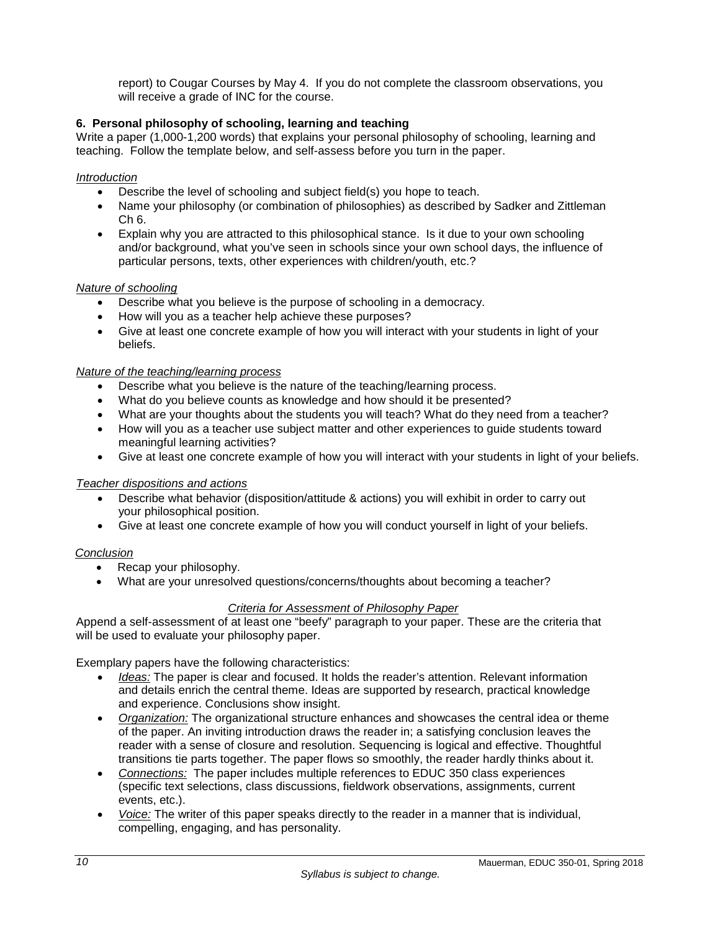report) to Cougar Courses by May 4. If you do not complete the classroom observations, you will receive a grade of INC for the course.

## **6. Personal philosophy of schooling, learning and teaching**

Write a paper (1,000-1,200 words) that explains your personal philosophy of schooling, learning and teaching. Follow the template below, and self-assess before you turn in the paper.

#### *Introduction*

- Describe the level of schooling and subject field(s) you hope to teach.
- Name your philosophy (or combination of philosophies) as described by Sadker and Zittleman Ch 6.
- Explain why you are attracted to this philosophical stance. Is it due to your own schooling and/or background, what you've seen in schools since your own school days, the influence of particular persons, texts, other experiences with children/youth, etc.?

#### *Nature of schooling*

- Describe what you believe is the purpose of schooling in a democracy.
- How will you as a teacher help achieve these purposes?
- Give at least one concrete example of how you will interact with your students in light of your beliefs.

#### *Nature of the teaching/learning process*

- Describe what you believe is the nature of the teaching/learning process.
- What do you believe counts as knowledge and how should it be presented?
- What are your thoughts about the students you will teach? What do they need from a teacher?
- How will you as a teacher use subject matter and other experiences to guide students toward meaningful learning activities?
- Give at least one concrete example of how you will interact with your students in light of your beliefs.

#### *Teacher dispositions and actions*

- Describe what behavior (disposition/attitude & actions) you will exhibit in order to carry out your philosophical position.
- Give at least one concrete example of how you will conduct yourself in light of your beliefs.

#### *Conclusion*

- Recap your philosophy.
- What are your unresolved questions/concerns/thoughts about becoming a teacher?

#### *Criteria for Assessment of Philosophy Paper*

Append a self-assessment of at least one "beefy" paragraph to your paper. These are the criteria that will be used to evaluate your philosophy paper.

Exemplary papers have the following characteristics:

- *Ideas:* The paper is clear and focused. It holds the reader's attention. Relevant information and details enrich the central theme. Ideas are supported by research, practical knowledge and experience. Conclusions show insight.
- *Organization:* The organizational structure enhances and showcases the central idea or theme of the paper. An inviting introduction draws the reader in; a satisfying conclusion leaves the reader with a sense of closure and resolution. Sequencing is logical and effective. Thoughtful transitions tie parts together. The paper flows so smoothly, the reader hardly thinks about it.
- *Connections:* The paper includes multiple references to EDUC 350 class experiences (specific text selections, class discussions, fieldwork observations, assignments, current events, etc.).
- *Voice:* The writer of this paper speaks directly to the reader in a manner that is individual, compelling, engaging, and has personality.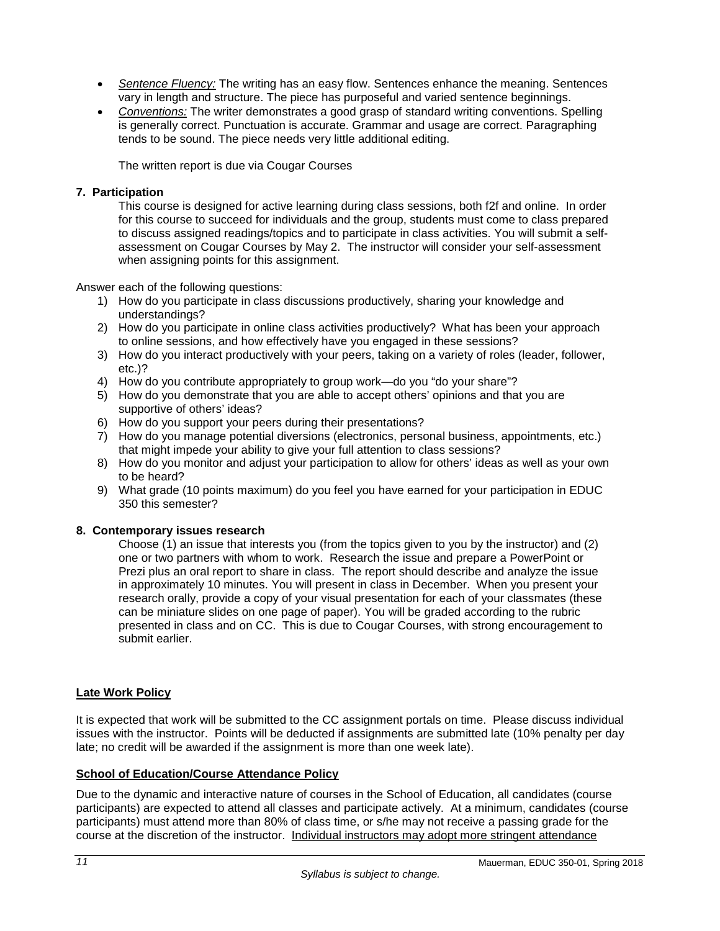- *Sentence Fluency:* The writing has an easy flow. Sentences enhance the meaning. Sentences vary in length and structure. The piece has purposeful and varied sentence beginnings.
- *Conventions:* The writer demonstrates a good grasp of standard writing conventions. Spelling is generally correct. Punctuation is accurate. Grammar and usage are correct. Paragraphing tends to be sound. The piece needs very little additional editing.

The written report is due via Cougar Courses

## **7. Participation**

This course is designed for active learning during class sessions, both f2f and online. In order for this course to succeed for individuals and the group, students must come to class prepared to discuss assigned readings/topics and to participate in class activities. You will submit a selfassessment on Cougar Courses by May 2. The instructor will consider your self-assessment when assigning points for this assignment.

Answer each of the following questions:

- 1) How do you participate in class discussions productively, sharing your knowledge and understandings?
- 2) How do you participate in online class activities productively? What has been your approach to online sessions, and how effectively have you engaged in these sessions?
- 3) How do you interact productively with your peers, taking on a variety of roles (leader, follower, etc.)?
- 4) How do you contribute appropriately to group work—do you "do your share"?
- 5) How do you demonstrate that you are able to accept others' opinions and that you are supportive of others' ideas?
- 6) How do you support your peers during their presentations?
- 7) How do you manage potential diversions (electronics, personal business, appointments, etc.) that might impede your ability to give your full attention to class sessions?
- 8) How do you monitor and adjust your participation to allow for others' ideas as well as your own to be heard?
- 9) What grade (10 points maximum) do you feel you have earned for your participation in EDUC 350 this semester?

## **8. Contemporary issues research**

Choose (1) an issue that interests you (from the topics given to you by the instructor) and (2) one or two partners with whom to work. Research the issue and prepare a PowerPoint or Prezi plus an oral report to share in class. The report should describe and analyze the issue in approximately 10 minutes. You will present in class in December. When you present your research orally, provide a copy of your visual presentation for each of your classmates (these can be miniature slides on one page of paper). You will be graded according to the rubric presented in class and on CC. This is due to Cougar Courses, with strong encouragement to submit earlier.

## **Late Work Policy**

It is expected that work will be submitted to the CC assignment portals on time. Please discuss individual issues with the instructor. Points will be deducted if assignments are submitted late (10% penalty per day late; no credit will be awarded if the assignment is more than one week late).

## <span id="page-12-0"></span>**School of Education/Course Attendance Policy**

Due to the dynamic and interactive nature of courses in the School of Education, all candidates (course participants) are expected to attend all classes and participate actively. At a minimum, candidates (course participants) must attend more than 80% of class time, or s/he may not receive a passing grade for the course at the discretion of the instructor. Individual instructors may adopt more stringent attendance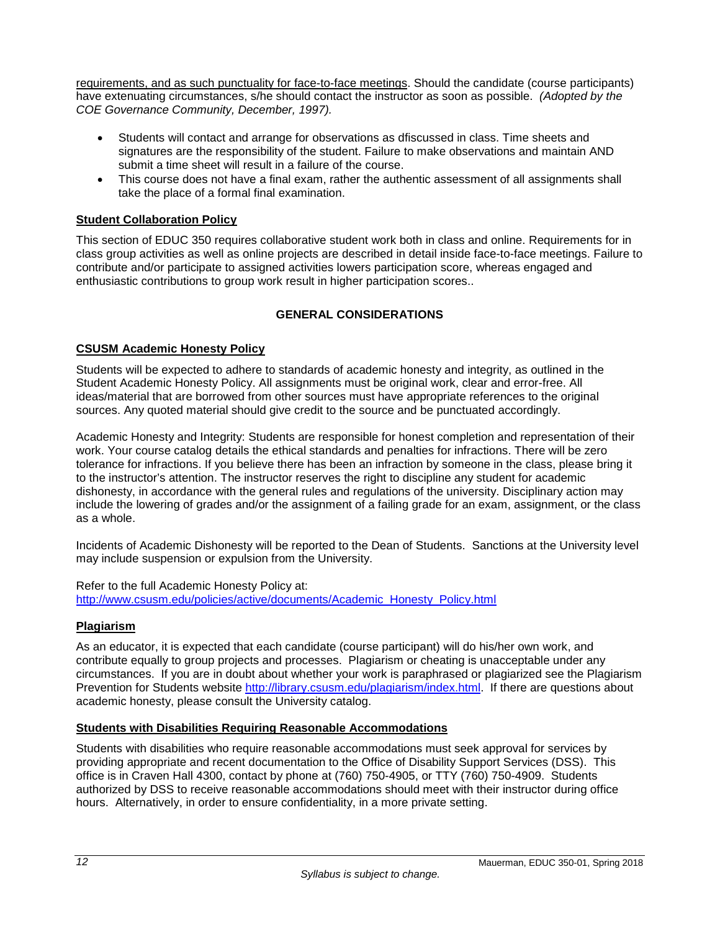requirements, and as such punctuality for face-to-face meetings. Should the candidate (course participants) have extenuating circumstances, s/he should contact the instructor as soon as possible. *(Adopted by the COE Governance Community, December, 1997).*

- Students will contact and arrange for observations as dfiscussed in class. Time sheets and signatures are the responsibility of the student. Failure to make observations and maintain AND submit a time sheet will result in a failure of the course.
- This course does not have a final exam, rather the authentic assessment of all assignments shall take the place of a formal final examination.

## <span id="page-13-0"></span>**Student Collaboration Policy**

This section of EDUC 350 requires collaborative student work both in class and online. Requirements for in class group activities as well as online projects are described in detail inside face-to-face meetings. Failure to contribute and/or participate to assigned activities lowers participation score, whereas engaged and enthusiastic contributions to group work result in higher participation scores..

## **GENERAL CONSIDERATIONS**

## <span id="page-13-2"></span><span id="page-13-1"></span>**CSUSM Academic Honesty Policy**

Students will be expected to adhere to standards of academic honesty and integrity, as outlined in the Student Academic Honesty Policy. All assignments must be original work, clear and error-free. All ideas/material that are borrowed from other sources must have appropriate references to the original sources. Any quoted material should give credit to the source and be punctuated accordingly.

Academic Honesty and Integrity: Students are responsible for honest completion and representation of their work. Your course catalog details the ethical standards and penalties for infractions. There will be zero tolerance for infractions. If you believe there has been an infraction by someone in the class, please bring it to the instructor's attention. The instructor reserves the right to discipline any student for academic dishonesty, in accordance with the general rules and regulations of the university. Disciplinary action may include the lowering of grades and/or the assignment of a failing grade for an exam, assignment, or the class as a whole.

Incidents of Academic Dishonesty will be reported to the Dean of Students. Sanctions at the University level may include suspension or expulsion from the University.

Refer to the full Academic Honesty Policy at: [http://www.csusm.edu/policies/active/documents/Academic\\_Honesty\\_Policy.html](http://www.csusm.edu/policies/active/documents/Academic_Honesty_Policy.html)

## <span id="page-13-3"></span>**Plagiarism**

As an educator, it is expected that each candidate (course participant) will do his/her own work, and contribute equally to group projects and processes. Plagiarism or cheating is unacceptable under any circumstances. If you are in doubt about whether your work is paraphrased or plagiarized see the Plagiarism Prevention for Students website [http://library.csusm.edu/plagiarism/index.html.](http://library.csusm.edu/plagiarism/index.html) If there are questions about academic honesty, please consult the University catalog.

#### <span id="page-13-4"></span>**Students with Disabilities Requiring Reasonable Accommodations**

Students with disabilities who require reasonable accommodations must seek approval for services by providing appropriate and recent documentation to the Office of Disability Support Services (DSS). This office is in Craven Hall 4300, contact by phone at (760) 750-4905, or TTY (760) 750-4909. Students authorized by DSS to receive reasonable accommodations should meet with their instructor during office hours. Alternatively, in order to ensure confidentiality, in a more private setting.